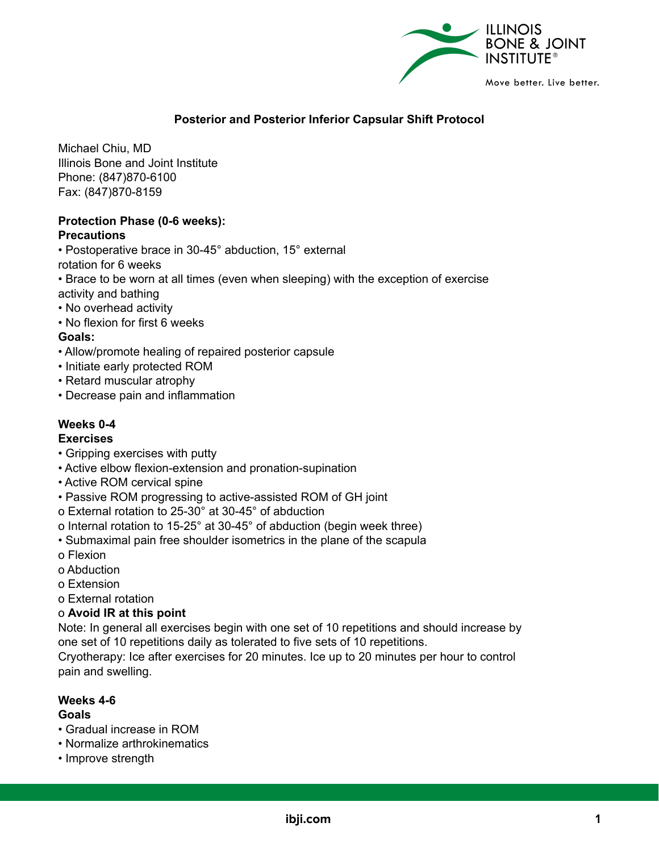

# **Posterior and Posterior Inferior Capsular Shift Protocol**

Michael Chiu, MD Illinois Bone and Joint Institute Phone: (847)870-6100 Fax: (847)870-8159

# **Protection Phase (0-6 weeks):**

# **Precautions**

• Postoperative brace in 30-45° abduction, 15° external

rotation for 6 weeks

• Brace to be worn at all times (even when sleeping) with the exception of exercise activity and bathing

- No overhead activity
- No flexion for first 6 weeks

# **Goals:**

- Allow/promote healing of repaired posterior capsule
- Initiate early protected ROM
- Retard muscular atrophy
- Decrease pain and inflammation

# **Weeks 0-4**

# **Exercises**

- Gripping exercises with putty
- Active elbow flexion-extension and pronation-supination
- Active ROM cervical spine
- Passive ROM progressing to active-assisted ROM of GH joint
- o External rotation to 25-30° at 30-45° of abduction
- o Internal rotation to 15-25° at 30-45° of abduction (begin week three)
- Submaximal pain free shoulder isometrics in the plane of the scapula
- o Flexion
- o Abduction
- o Extension
- o External rotation

# o **Avoid IR at this point**

Note: In general all exercises begin with one set of 10 repetitions and should increase by one set of 10 repetitions daily as tolerated to five sets of 10 repetitions.

Cryotherapy: Ice after exercises for 20 minutes. Ice up to 20 minutes per hour to control pain and swelling.

# **Weeks 4-6**

# **Goals**

- Gradual increase in ROM
- Normalize arthrokinematics
- Improve strength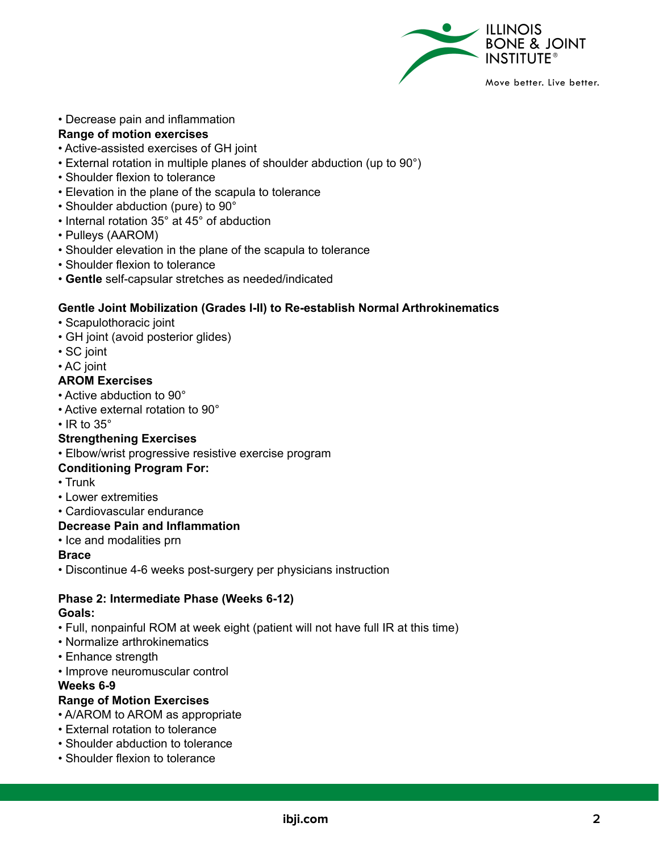

## • Decrease pain and inflammation

#### **Range of motion exercises**

- Active-assisted exercises of GH joint
- External rotation in multiple planes of shoulder abduction (up to 90°)
- Shoulder flexion to tolerance
- Elevation in the plane of the scapula to tolerance
- Shoulder abduction (pure) to 90°
- Internal rotation 35° at 45° of abduction
- Pulleys (AAROM)
- Shoulder elevation in the plane of the scapula to tolerance
- Shoulder flexion to tolerance
- **Gentle** self-capsular stretches as needed/indicated

#### **Gentle Joint Mobilization (Grades I-II) to Re-establish Normal Arthrokinematics**

- Scapulothoracic joint
- GH joint (avoid posterior glides)
- SC joint
- AC joint

#### **AROM Exercises**

- Active abduction to 90°
- Active external rotation to 90°
- $\cdot$  IR to 35 $^{\circ}$

# **Strengthening Exercises**

• Elbow/wrist progressive resistive exercise program

# **Conditioning Program For:**

- Trunk
- Lower extremities
- Cardiovascular endurance

#### **Decrease Pain and Inflammation**

• Ice and modalities prn

#### **Brace**

• Discontinue 4-6 weeks post-surgery per physicians instruction

# **Phase 2: Intermediate Phase (Weeks 6-12)**

#### **Goals:**

- Full, nonpainful ROM at week eight (patient will not have full IR at this time)
- Normalize arthrokinematics
- Enhance strength
- Improve neuromuscular control

#### **Weeks 6-9**

# **Range of Motion Exercises**

- A/AROM to AROM as appropriate
- External rotation to tolerance
- Shoulder abduction to tolerance
- Shoulder flexion to tolerance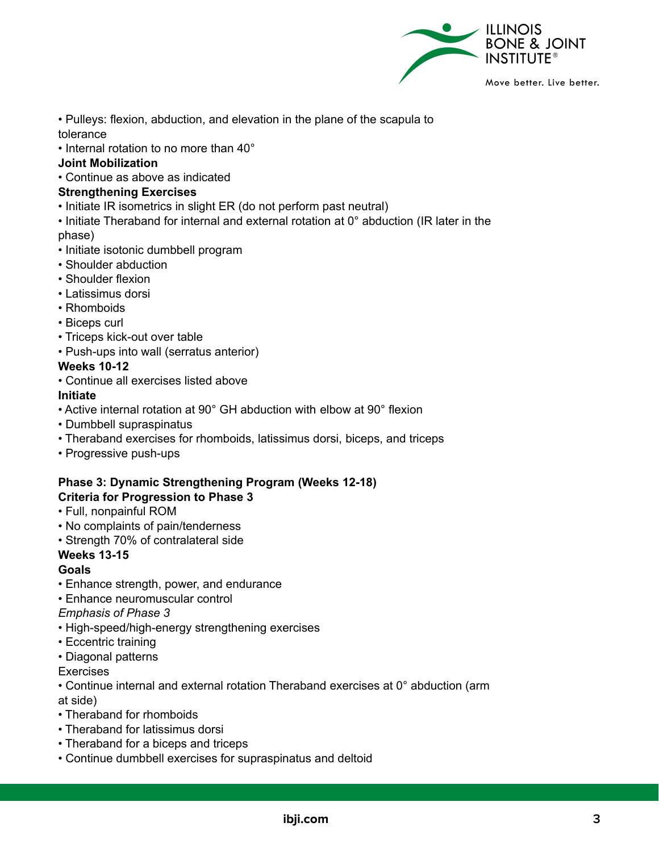

• Pulleys: flexion, abduction, and elevation in the plane of the scapula to tolerance

• Internal rotation to no more than 40°

## **Joint Mobilization**

• Continue as above as indicated

#### **Strengthening Exercises**

- Initiate IR isometrics in slight ER (do not perform past neutral)
- Initiate Theraband for internal and external rotation at 0° abduction (IR later in the phase)
- Initiate isotonic dumbbell program
- Shoulder abduction
- Shoulder flexion
- Latissimus dorsi
- Rhomboids
- Biceps curl
- Triceps kick-out over table
- Push-ups into wall (serratus anterior)

#### **Weeks 10-12**

• Continue all exercises listed above

# **Initiate**

- Active internal rotation at 90° GH abduction with elbow at 90° flexion
- Dumbbell supraspinatus
- Theraband exercises for rhomboids, latissimus dorsi, biceps, and triceps
- Progressive push-ups

## **Phase 3: Dynamic Strengthening Program (Weeks 12-18) Criteria for Progression to Phase 3**

- Full, nonpainful ROM
- No complaints of pain/tenderness
- Strength 70% of contralateral side

# **Weeks 13-15**

#### **Goals**

- Enhance strength, power, and endurance
- Enhance neuromuscular control

#### *Emphasis of Phase 3*

- High-speed/high-energy strengthening exercises
- Eccentric training
- Diagonal patterns

#### **Exercises**

- Continue internal and external rotation Theraband exercises at 0° abduction (arm at side)
- Theraband for rhomboids
- Theraband for latissimus dorsi
- Theraband for a biceps and triceps
- Continue dumbbell exercises for supraspinatus and deltoid